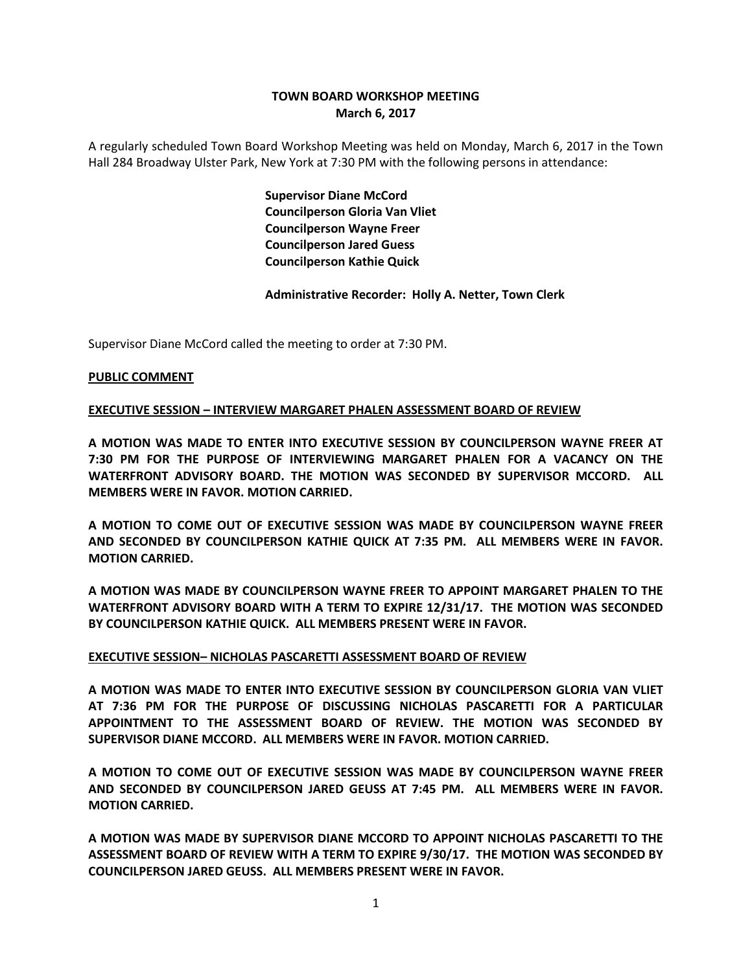# **TOWN BOARD WORKSHOP MEETING March 6, 2017**

A regularly scheduled Town Board Workshop Meeting was held on Monday, March 6, 2017 in the Town Hall 284 Broadway Ulster Park, New York at 7:30 PM with the following persons in attendance:

> **Supervisor Diane McCord Councilperson Gloria Van Vliet Councilperson Wayne Freer Councilperson Jared Guess Councilperson Kathie Quick**

**Administrative Recorder: Holly A. Netter, Town Clerk**

Supervisor Diane McCord called the meeting to order at 7:30 PM.

### **PUBLIC COMMENT**

### **EXECUTIVE SESSION – INTERVIEW MARGARET PHALEN ASSESSMENT BOARD OF REVIEW**

**A MOTION WAS MADE TO ENTER INTO EXECUTIVE SESSION BY COUNCILPERSON WAYNE FREER AT 7:30 PM FOR THE PURPOSE OF INTERVIEWING MARGARET PHALEN FOR A VACANCY ON THE WATERFRONT ADVISORY BOARD. THE MOTION WAS SECONDED BY SUPERVISOR MCCORD. ALL MEMBERS WERE IN FAVOR. MOTION CARRIED.**

**A MOTION TO COME OUT OF EXECUTIVE SESSION WAS MADE BY COUNCILPERSON WAYNE FREER AND SECONDED BY COUNCILPERSON KATHIE QUICK AT 7:35 PM. ALL MEMBERS WERE IN FAVOR. MOTION CARRIED.**

**A MOTION WAS MADE BY COUNCILPERSON WAYNE FREER TO APPOINT MARGARET PHALEN TO THE WATERFRONT ADVISORY BOARD WITH A TERM TO EXPIRE 12/31/17. THE MOTION WAS SECONDED BY COUNCILPERSON KATHIE QUICK. ALL MEMBERS PRESENT WERE IN FAVOR.**

#### **EXECUTIVE SESSION– NICHOLAS PASCARETTI ASSESSMENT BOARD OF REVIEW**

**A MOTION WAS MADE TO ENTER INTO EXECUTIVE SESSION BY COUNCILPERSON GLORIA VAN VLIET AT 7:36 PM FOR THE PURPOSE OF DISCUSSING NICHOLAS PASCARETTI FOR A PARTICULAR APPOINTMENT TO THE ASSESSMENT BOARD OF REVIEW. THE MOTION WAS SECONDED BY SUPERVISOR DIANE MCCORD. ALL MEMBERS WERE IN FAVOR. MOTION CARRIED.**

**A MOTION TO COME OUT OF EXECUTIVE SESSION WAS MADE BY COUNCILPERSON WAYNE FREER AND SECONDED BY COUNCILPERSON JARED GEUSS AT 7:45 PM. ALL MEMBERS WERE IN FAVOR. MOTION CARRIED.**

**A MOTION WAS MADE BY SUPERVISOR DIANE MCCORD TO APPOINT NICHOLAS PASCARETTI TO THE ASSESSMENT BOARD OF REVIEW WITH A TERM TO EXPIRE 9/30/17. THE MOTION WAS SECONDED BY COUNCILPERSON JARED GEUSS. ALL MEMBERS PRESENT WERE IN FAVOR.**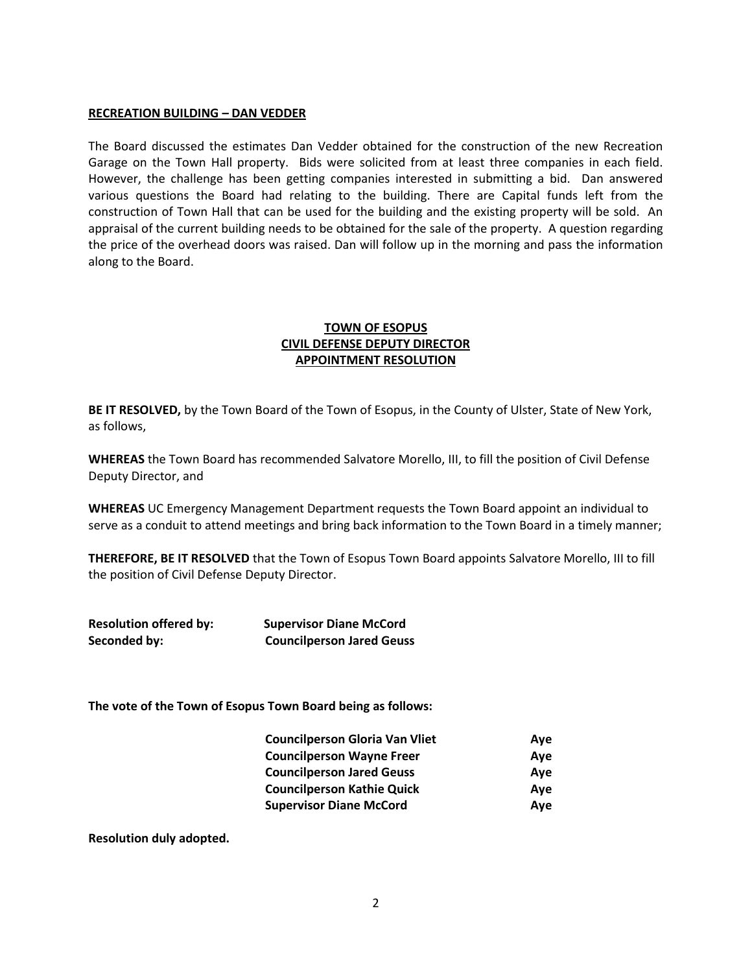#### **RECREATION BUILDING – DAN VEDDER**

The Board discussed the estimates Dan Vedder obtained for the construction of the new Recreation Garage on the Town Hall property. Bids were solicited from at least three companies in each field. However, the challenge has been getting companies interested in submitting a bid. Dan answered various questions the Board had relating to the building. There are Capital funds left from the construction of Town Hall that can be used for the building and the existing property will be sold. An appraisal of the current building needs to be obtained for the sale of the property. A question regarding the price of the overhead doors was raised. Dan will follow up in the morning and pass the information along to the Board.

## **TOWN OF ESOPUS CIVIL DEFENSE DEPUTY DIRECTOR APPOINTMENT RESOLUTION**

**BE IT RESOLVED,** by the Town Board of the Town of Esopus, in the County of Ulster, State of New York, as follows,

**WHEREAS** the Town Board has recommended Salvatore Morello, III, to fill the position of Civil Defense Deputy Director, and

**WHEREAS** UC Emergency Management Department requests the Town Board appoint an individual to serve as a conduit to attend meetings and bring back information to the Town Board in a timely manner;

**THEREFORE, BE IT RESOLVED** that the Town of Esopus Town Board appoints Salvatore Morello, III to fill the position of Civil Defense Deputy Director.

| <b>Resolution offered by:</b> | <b>Supervisor Diane McCord</b>   |
|-------------------------------|----------------------------------|
| Seconded by:                  | <b>Councilperson Jared Geuss</b> |

**The vote of the Town of Esopus Town Board being as follows:**

| <b>Councilperson Gloria Van Vliet</b> | Ave |
|---------------------------------------|-----|
| <b>Councilperson Wayne Freer</b>      | Ave |
| <b>Councilperson Jared Geuss</b>      | Ave |
| <b>Councilperson Kathie Quick</b>     | Ave |
| <b>Supervisor Diane McCord</b>        | Ave |

**Resolution duly adopted.**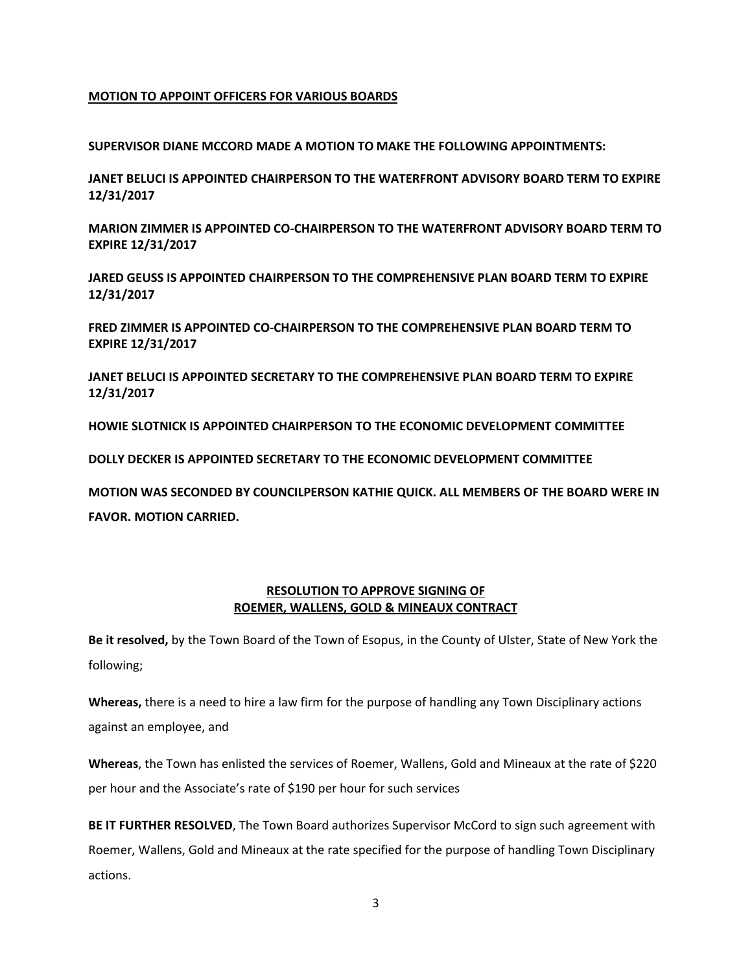### **MOTION TO APPOINT OFFICERS FOR VARIOUS BOARDS**

**SUPERVISOR DIANE MCCORD MADE A MOTION TO MAKE THE FOLLOWING APPOINTMENTS:** 

**JANET BELUCI IS APPOINTED CHAIRPERSON TO THE WATERFRONT ADVISORY BOARD TERM TO EXPIRE 12/31/2017**

**MARION ZIMMER IS APPOINTED CO-CHAIRPERSON TO THE WATERFRONT ADVISORY BOARD TERM TO EXPIRE 12/31/2017**

**JARED GEUSS IS APPOINTED CHAIRPERSON TO THE COMPREHENSIVE PLAN BOARD TERM TO EXPIRE 12/31/2017**

**FRED ZIMMER IS APPOINTED CO-CHAIRPERSON TO THE COMPREHENSIVE PLAN BOARD TERM TO EXPIRE 12/31/2017**

**JANET BELUCI IS APPOINTED SECRETARY TO THE COMPREHENSIVE PLAN BOARD TERM TO EXPIRE 12/31/2017**

**HOWIE SLOTNICK IS APPOINTED CHAIRPERSON TO THE ECONOMIC DEVELOPMENT COMMITTEE**

**DOLLY DECKER IS APPOINTED SECRETARY TO THE ECONOMIC DEVELOPMENT COMMITTEE**

**MOTION WAS SECONDED BY COUNCILPERSON KATHIE QUICK. ALL MEMBERS OF THE BOARD WERE IN FAVOR. MOTION CARRIED.** 

## **RESOLUTION TO APPROVE SIGNING OF ROEMER, WALLENS, GOLD & MINEAUX CONTRACT**

**Be it resolved,** by the Town Board of the Town of Esopus, in the County of Ulster, State of New York the following;

**Whereas,** there is a need to hire a law firm for the purpose of handling any Town Disciplinary actions against an employee, and

**Whereas**, the Town has enlisted the services of Roemer, Wallens, Gold and Mineaux at the rate of \$220 per hour and the Associate's rate of \$190 per hour for such services

**BE IT FURTHER RESOLVED**, The Town Board authorizes Supervisor McCord to sign such agreement with Roemer, Wallens, Gold and Mineaux at the rate specified for the purpose of handling Town Disciplinary actions.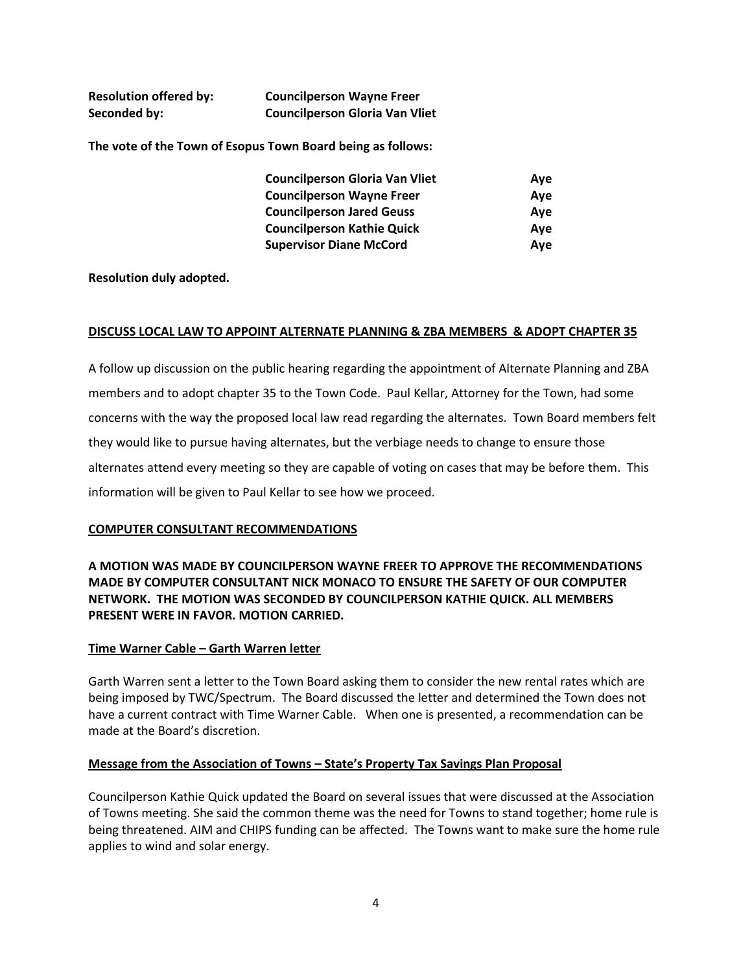| <b>Resolution offered by:</b> | <b>Councilperson Wayne Freer</b>      |
|-------------------------------|---------------------------------------|
| Seconded by:                  | <b>Councilperson Gloria Van Vliet</b> |

**The vote of the Town of Esopus Town Board being as follows:**

| <b>Councilperson Gloria Van Vliet</b> | Ave |
|---------------------------------------|-----|
| <b>Councilperson Wayne Freer</b>      | Ave |
| <b>Councilperson Jared Geuss</b>      | Ave |
| <b>Councilperson Kathie Quick</b>     | Ave |
| <b>Supervisor Diane McCord</b>        | Ave |

**Resolution duly adopted.** 

### **DISCUSS LOCAL LAW TO APPOINT ALTERNATE PLANNING & ZBA MEMBERS & ADOPT CHAPTER 35**

A follow up discussion on the public hearing regarding the appointment of Alternate Planning and ZBA members and to adopt chapter 35 to the Town Code. Paul Kellar, Attorney for the Town, had some concerns with the way the proposed local law read regarding the alternates. Town Board members felt they would like to pursue having alternates, but the verbiage needs to change to ensure those alternates attend every meeting so they are capable of voting on cases that may be before them. This information will be given to Paul Kellar to see how we proceed.

## **COMPUTER CONSULTANT RECOMMENDATIONS**

**A MOTION WAS MADE BY COUNCILPERSON WAYNE FREER TO APPROVE THE RECOMMENDATIONS MADE BY COMPUTER CONSULTANT NICK MONACO TO ENSURE THE SAFETY OF OUR COMPUTER NETWORK. THE MOTION WAS SECONDED BY COUNCILPERSON KATHIE QUICK. ALL MEMBERS PRESENT WERE IN FAVOR. MOTION CARRIED.**

## **Time Warner Cable – Garth Warren letter**

Garth Warren sent a letter to the Town Board asking them to consider the new rental rates which are being imposed by TWC/Spectrum. The Board discussed the letter and determined the Town does not have a current contract with Time Warner Cable. When one is presented, a recommendation can be made at the Board's discretion.

## **Message from the Association of Towns – State's Property Tax Savings Plan Proposal**

Councilperson Kathie Quick updated the Board on several issues that were discussed at the Association of Towns meeting. She said the common theme was the need for Towns to stand together; home rule is being threatened. AIM and CHIPS funding can be affected. The Towns want to make sure the home rule applies to wind and solar energy.